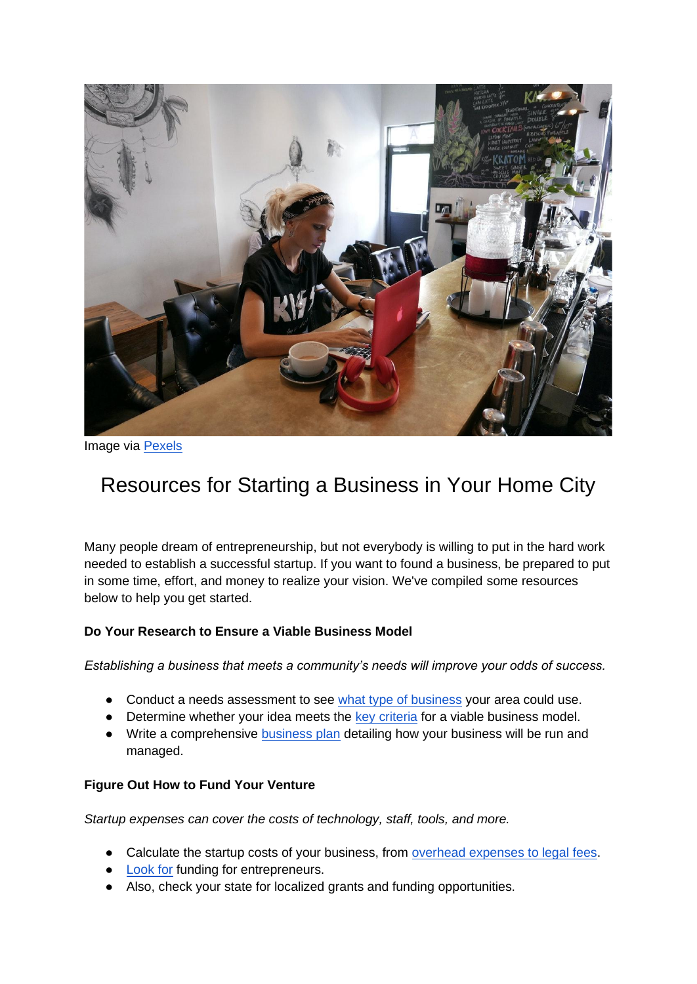

Image via [Pexels](https://www.pexels.com/photo/woman-wears-black-kiss-print-crew-neck-shirts-sits-722244/)

# Resources for Starting a Business in Your Home City

Many people dream of entrepreneurship, but not everybody is willing to put in the hard work needed to establish a successful startup. If you want to found a business, be prepared to put in some time, effort, and money to realize your vision. We've compiled some resources below to help you get started.

## **Do Your Research to Ensure a Viable Business Model**

*Establishing a business that meets a community's needs will improve your odds of success.*

- Conduct a needs assessment to see [what type of business](https://www.galaxydigital.com/blog/community-needs-assessment/) your area could use.
- Determine whether your idea meets the [key criteria](https://herbusiness.com/blog/viable-business-model) for a viable business model.
- Write a comprehensive **business plan** detailing how your business will be run and managed.

#### **Figure Out How to Fund Your Venture**

*Startup expenses can cover the costs of technology, staff, tools, and more.*

- Calculate the startup costs of your business, from [overhead expenses to legal fees.](https://smallbusiness.chron.com/startup-costs-new-business-1844.html)
- **[Look for](https://www.startupgrind.com/blog/9-realistic-ways-to-fund-your-startup/) funding for entrepreneurs.**
- Also, check your state for localized grants and funding opportunities.